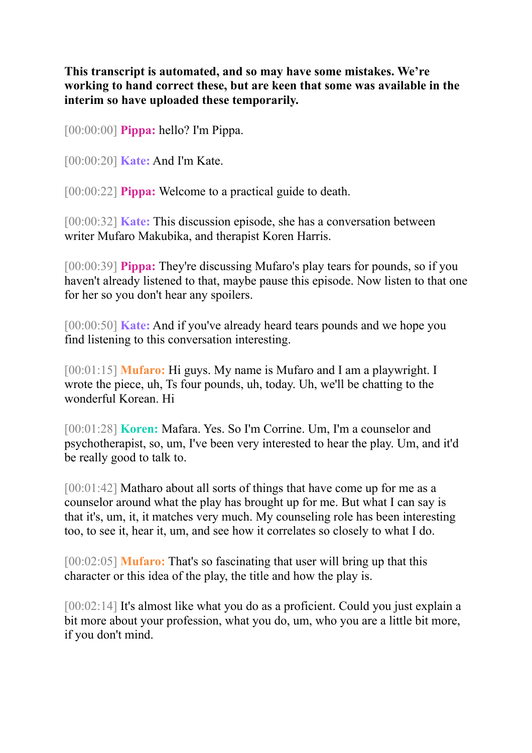**This transcript is automated, and so may have some mistakes. We're working to hand correct these, but are keen that some was available in the interim so have uploaded these temporarily.**

[00:00:00] **Pippa:** hello? I'm Pippa.

[00:00:20] **Kate:** And I'm Kate.

[00:00:22] **Pippa:** Welcome to a practical guide to death.

[00:00:32] **Kate:** This discussion episode, she has a conversation between writer Mufaro Makubika, and therapist Koren Harris.

[00:00:39] **Pippa:** They're discussing Mufaro's play tears for pounds, so if you haven't already listened to that, maybe pause this episode. Now listen to that one for her so you don't hear any spoilers.

[00:00:50] **Kate:** And if you've already heard tears pounds and we hope you find listening to this conversation interesting.

[00:01:15] **Mufaro:** Hi guys. My name is Mufaro and I am a playwright. I wrote the piece, uh, Ts four pounds, uh, today. Uh, we'll be chatting to the wonderful Korean. Hi

[00:01:28] **Koren:** Mafara. Yes. So I'm Corrine. Um, I'm a counselor and psychotherapist, so, um, I've been very interested to hear the play. Um, and it'd be really good to talk to.

[00:01:42] Matharo about all sorts of things that have come up for me as a counselor around what the play has brought up for me. But what I can say is that it's, um, it, it matches very much. My counseling role has been interesting too, to see it, hear it, um, and see how it correlates so closely to what I do.

[00:02:05] **Mufaro:** That's so fascinating that user will bring up that this character or this idea of the play, the title and how the play is.

[00:02:14] It's almost like what you do as a proficient. Could you just explain a bit more about your profession, what you do, um, who you are a little bit more, if you don't mind.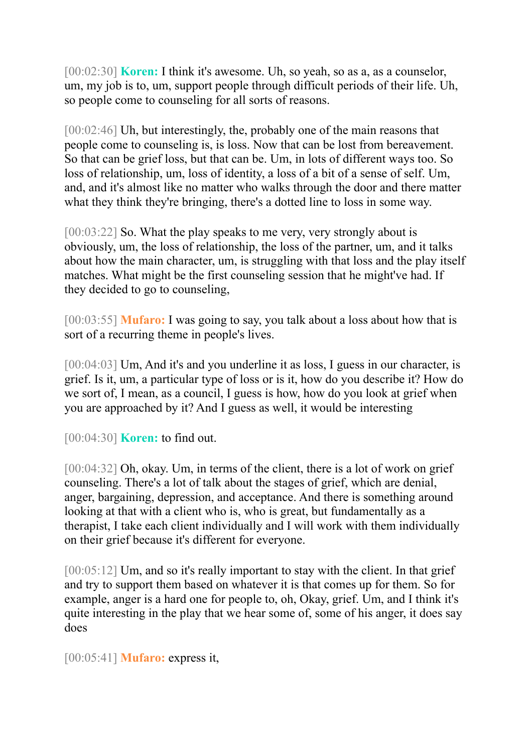[00:02:30] **Koren:** I think it's awesome. Uh, so yeah, so as a, as a counselor, um, my job is to, um, support people through difficult periods of their life. Uh, so people come to counseling for all sorts of reasons.

[00:02:46] Uh, but interestingly, the, probably one of the main reasons that people come to counseling is, is loss. Now that can be lost from bereavement. So that can be grief loss, but that can be. Um, in lots of different ways too. So loss of relationship, um, loss of identity, a loss of a bit of a sense of self. Um, and, and it's almost like no matter who walks through the door and there matter what they think they're bringing, there's a dotted line to loss in some way.

[00:03:22] So. What the play speaks to me very, very strongly about is obviously, um, the loss of relationship, the loss of the partner, um, and it talks about how the main character, um, is struggling with that loss and the play itself matches. What might be the first counseling session that he might've had. If they decided to go to counseling,

[00:03:55] **Mufaro:** I was going to say, you talk about a loss about how that is sort of a recurring theme in people's lives.

[00:04:03] Um, And it's and you underline it as loss, I guess in our character, is grief. Is it, um, a particular type of loss or is it, how do you describe it? How do we sort of, I mean, as a council, I guess is how, how do you look at grief when you are approached by it? And I guess as well, it would be interesting

[00:04:30] **Koren:** to find out.

[00:04:32] Oh, okay. Um, in terms of the client, there is a lot of work on grief counseling. There's a lot of talk about the stages of grief, which are denial, anger, bargaining, depression, and acceptance. And there is something around looking at that with a client who is, who is great, but fundamentally as a therapist, I take each client individually and I will work with them individually on their grief because it's different for everyone.

[00:05:12] Um, and so it's really important to stay with the client. In that grief and try to support them based on whatever it is that comes up for them. So for example, anger is a hard one for people to, oh, Okay, grief. Um, and I think it's quite interesting in the play that we hear some of, some of his anger, it does say does

[00:05:41] **Mufaro:** express it,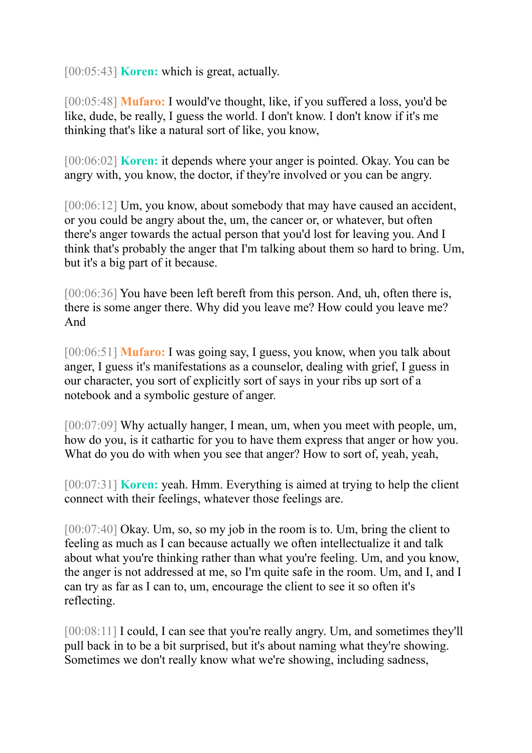[00:05:43] **Koren:** which is great, actually.

[00:05:48] **Mufaro:** I would've thought, like, if you suffered a loss, you'd be like, dude, be really, I guess the world. I don't know. I don't know if it's me thinking that's like a natural sort of like, you know,

[00:06:02] **Koren:** it depends where your anger is pointed. Okay. You can be angry with, you know, the doctor, if they're involved or you can be angry.

[00:06:12] Um, you know, about somebody that may have caused an accident, or you could be angry about the, um, the cancer or, or whatever, but often there's anger towards the actual person that you'd lost for leaving you. And I think that's probably the anger that I'm talking about them so hard to bring. Um, but it's a big part of it because.

[00:06:36] You have been left bereft from this person. And, uh, often there is, there is some anger there. Why did you leave me? How could you leave me? And

[00:06:51] **Mufaro:** I was going say, I guess, you know, when you talk about anger, I guess it's manifestations as a counselor, dealing with grief, I guess in our character, you sort of explicitly sort of says in your ribs up sort of a notebook and a symbolic gesture of anger.

[00:07:09] Why actually hanger, I mean, um, when you meet with people, um, how do you, is it cathartic for you to have them express that anger or how you. What do you do with when you see that anger? How to sort of, yeah, yeah,

[00:07:31] **Koren:** yeah. Hmm. Everything is aimed at trying to help the client connect with their feelings, whatever those feelings are.

[00:07:40] Okay. Um, so, so my job in the room is to. Um, bring the client to feeling as much as I can because actually we often intellectualize it and talk about what you're thinking rather than what you're feeling. Um, and you know, the anger is not addressed at me, so I'm quite safe in the room. Um, and I, and I can try as far as I can to, um, encourage the client to see it so often it's reflecting.

[00:08:11] I could, I can see that you're really angry. Um, and sometimes they'll pull back in to be a bit surprised, but it's about naming what they're showing. Sometimes we don't really know what we're showing, including sadness,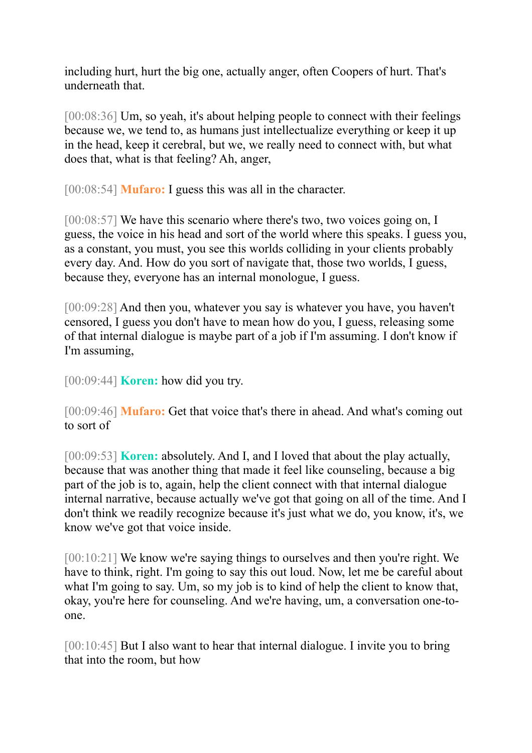including hurt, hurt the big one, actually anger, often Coopers of hurt. That's underneath that.

[00:08:36] Um, so yeah, it's about helping people to connect with their feelings because we, we tend to, as humans just intellectualize everything or keep it up in the head, keep it cerebral, but we, we really need to connect with, but what does that, what is that feeling? Ah, anger,

[00:08:54] **Mufaro:** I guess this was all in the character.

[00:08:57] We have this scenario where there's two, two voices going on, I guess, the voice in his head and sort of the world where this speaks. I guess you, as a constant, you must, you see this worlds colliding in your clients probably every day. And. How do you sort of navigate that, those two worlds, I guess, because they, everyone has an internal monologue, I guess.

[00:09:28] And then you, whatever you say is whatever you have, you haven't censored, I guess you don't have to mean how do you, I guess, releasing some of that internal dialogue is maybe part of a job if I'm assuming. I don't know if I'm assuming,

[00:09:44] **Koren:** how did you try.

[00:09:46] **Mufaro:** Get that voice that's there in ahead. And what's coming out to sort of

[00:09:53] **Koren:** absolutely. And I, and I loved that about the play actually, because that was another thing that made it feel like counseling, because a big part of the job is to, again, help the client connect with that internal dialogue internal narrative, because actually we've got that going on all of the time. And I don't think we readily recognize because it's just what we do, you know, it's, we know we've got that voice inside.

[00:10:21] We know we're saying things to ourselves and then you're right. We have to think, right. I'm going to say this out loud. Now, let me be careful about what I'm going to say. Um, so my job is to kind of help the client to know that, okay, you're here for counseling. And we're having, um, a conversation one-toone.

[00:10:45] But I also want to hear that internal dialogue. I invite you to bring that into the room, but how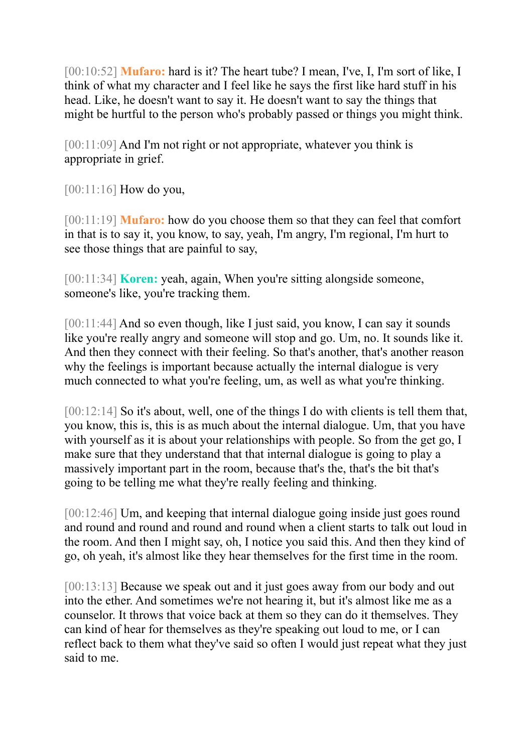[00:10:52] **Mufaro:** hard is it? The heart tube? I mean, I've, I, I'm sort of like, I think of what my character and I feel like he says the first like hard stuff in his head. Like, he doesn't want to say it. He doesn't want to say the things that might be hurtful to the person who's probably passed or things you might think.

[00:11:09] And I'm not right or not appropriate, whatever you think is appropriate in grief.

[00:11:16] **How do you**,

[00:11:19] **Mufaro:** how do you choose them so that they can feel that comfort in that is to say it, you know, to say, yeah, I'm angry, I'm regional, I'm hurt to see those things that are painful to say,

[00:11:34] **Koren:** yeah, again, When you're sitting alongside someone, someone's like, you're tracking them.

[00:11:44] And so even though, like I just said, you know, I can say it sounds like you're really angry and someone will stop and go. Um, no. It sounds like it. And then they connect with their feeling. So that's another, that's another reason why the feelings is important because actually the internal dialogue is very much connected to what you're feeling, um, as well as what you're thinking.

[00:12:14] So it's about, well, one of the things I do with clients is tell them that, you know, this is, this is as much about the internal dialogue. Um, that you have with yourself as it is about your relationships with people. So from the get go, I make sure that they understand that that internal dialogue is going to play a massively important part in the room, because that's the, that's the bit that's going to be telling me what they're really feeling and thinking.

[00:12:46] Um, and keeping that internal dialogue going inside just goes round and round and round and round and round when a client starts to talk out loud in the room. And then I might say, oh, I notice you said this. And then they kind of go, oh yeah, it's almost like they hear themselves for the first time in the room.

[00:13:13] Because we speak out and it just goes away from our body and out into the ether. And sometimes we're not hearing it, but it's almost like me as a counselor. It throws that voice back at them so they can do it themselves. They can kind of hear for themselves as they're speaking out loud to me, or I can reflect back to them what they've said so often I would just repeat what they just said to me.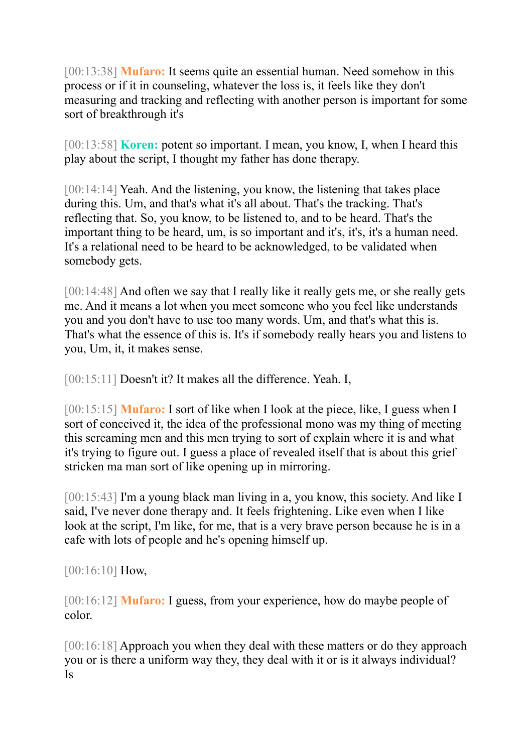[00:13:38] **Mufaro:** It seems quite an essential human. Need somehow in this process or if it in counseling, whatever the loss is, it feels like they don't measuring and tracking and reflecting with another person is important for some sort of breakthrough it's

[00:13:58] **Koren:** potent so important. I mean, you know, I, when I heard this play about the script, I thought my father has done therapy.

[00:14:14] Yeah. And the listening, you know, the listening that takes place during this. Um, and that's what it's all about. That's the tracking. That's reflecting that. So, you know, to be listened to, and to be heard. That's the important thing to be heard, um, is so important and it's, it's, it's a human need. It's a relational need to be heard to be acknowledged, to be validated when somebody gets.

[00:14:48] And often we say that I really like it really gets me, or she really gets me. And it means a lot when you meet someone who you feel like understands you and you don't have to use too many words. Um, and that's what this is. That's what the essence of this is. It's if somebody really hears you and listens to you, Um, it, it makes sense.

[00:15:11] Doesn't it? It makes all the difference. Yeah. I,

[00:15:15] **Mufaro:** I sort of like when I look at the piece, like, I guess when I sort of conceived it, the idea of the professional mono was my thing of meeting this screaming men and this men trying to sort of explain where it is and what it's trying to figure out. I guess a place of revealed itself that is about this grief stricken ma man sort of like opening up in mirroring.

[00:15:43] I'm a young black man living in a, you know, this society. And like I said, I've never done therapy and. It feels frightening. Like even when I like look at the script, I'm like, for me, that is a very brave person because he is in a cafe with lots of people and he's opening himself up.

[00:16:10] **How**,

[00:16:12] **Mufaro:** I guess, from your experience, how do maybe people of color.

[00:16:18] Approach you when they deal with these matters or do they approach you or is there a uniform way they, they deal with it or is it always individual? Is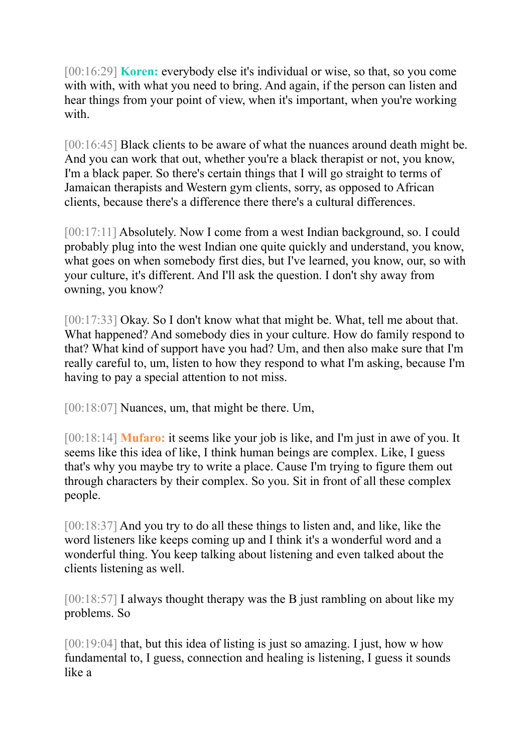[00:16:29] **Koren:** everybody else it's individual or wise, so that, so you come with with, with what you need to bring. And again, if the person can listen and hear things from your point of view, when it's important, when you're working with.

[00:16:45] Black clients to be aware of what the nuances around death might be. And you can work that out, whether you're a black therapist or not, you know, I'm a black paper. So there's certain things that I will go straight to terms of Jamaican therapists and Western gym clients, sorry, as opposed to African clients, because there's a difference there there's a cultural differences.

[00:17:11] Absolutely. Now I come from a west Indian background, so. I could probably plug into the west Indian one quite quickly and understand, you know, what goes on when somebody first dies, but I've learned, you know, our, so with your culture, it's different. And I'll ask the question. I don't shy away from owning, you know?

[00:17:33] Okay. So I don't know what that might be. What, tell me about that. What happened? And somebody dies in your culture. How do family respond to that? What kind of support have you had? Um, and then also make sure that I'm really careful to, um, listen to how they respond to what I'm asking, because I'm having to pay a special attention to not miss.

[00:18:07] Nuances, um, that might be there. Um,

[00:18:14] **Mufaro:** it seems like your job is like, and I'm just in awe of you. It seems like this idea of like, I think human beings are complex. Like, I guess that's why you maybe try to write a place. Cause I'm trying to figure them out through characters by their complex. So you. Sit in front of all these complex people.

[00:18:37] And you try to do all these things to listen and, and like, like the word listeners like keeps coming up and I think it's a wonderful word and a wonderful thing. You keep talking about listening and even talked about the clients listening as well.

[00:18:57] I always thought therapy was the B just rambling on about like my problems. So

[00:19:04] that, but this idea of listing is just so amazing. I just, how w how fundamental to, I guess, connection and healing is listening, I guess it sounds like a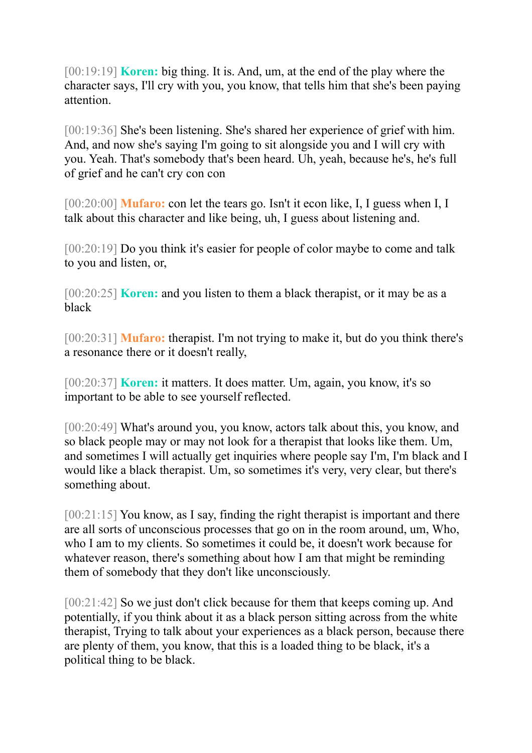[00:19:19] **Koren:** big thing. It is. And, um, at the end of the play where the character says, I'll cry with you, you know, that tells him that she's been paying attention.

[00:19:36] She's been listening. She's shared her experience of grief with him. And, and now she's saying I'm going to sit alongside you and I will cry with you. Yeah. That's somebody that's been heard. Uh, yeah, because he's, he's full of grief and he can't cry con con

[00:20:00] **Mufaro:** con let the tears go. Isn't it econ like, I, I guess when I, I talk about this character and like being, uh, I guess about listening and.

[00:20:19] Do you think it's easier for people of color maybe to come and talk to you and listen, or,

[00:20:25] **Koren:** and you listen to them a black therapist, or it may be as a black

[00:20:31] **Mufaro:** therapist. I'm not trying to make it, but do you think there's a resonance there or it doesn't really,

[00:20:37] **Koren:** it matters. It does matter. Um, again, you know, it's so important to be able to see yourself reflected.

[00:20:49] What's around you, you know, actors talk about this, you know, and so black people may or may not look for a therapist that looks like them. Um, and sometimes I will actually get inquiries where people say I'm, I'm black and I would like a black therapist. Um, so sometimes it's very, very clear, but there's something about.

[00:21:15] You know, as I say, finding the right therapist is important and there are all sorts of unconscious processes that go on in the room around, um, Who, who I am to my clients. So sometimes it could be, it doesn't work because for whatever reason, there's something about how I am that might be reminding them of somebody that they don't like unconsciously.

[00:21:42] So we just don't click because for them that keeps coming up. And potentially, if you think about it as a black person sitting across from the white therapist, Trying to talk about your experiences as a black person, because there are plenty of them, you know, that this is a loaded thing to be black, it's a political thing to be black.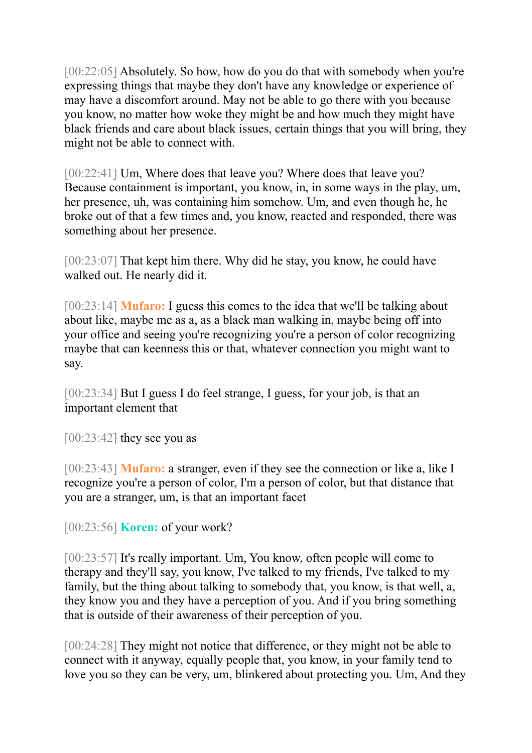[00:22:05] Absolutely. So how, how do you do that with somebody when you're expressing things that maybe they don't have any knowledge or experience of may have a discomfort around. May not be able to go there with you because you know, no matter how woke they might be and how much they might have black friends and care about black issues, certain things that you will bring, they might not be able to connect with.

[00:22:41] Um, Where does that leave you? Where does that leave you? Because containment is important, you know, in, in some ways in the play, um, her presence, uh, was containing him somehow. Um, and even though he, he broke out of that a few times and, you know, reacted and responded, there was something about her presence.

[00:23:07] That kept him there. Why did he stay, you know, he could have walked out. He nearly did it.

[00:23:14] **Mufaro:** I guess this comes to the idea that we'll be talking about about like, maybe me as a, as a black man walking in, maybe being off into your office and seeing you're recognizing you're a person of color recognizing maybe that can keenness this or that, whatever connection you might want to say.

[00:23:34] But I guess I do feel strange, I guess, for your job, is that an important element that

 $[00:23:42]$  they see you as

[00:23:43] **Mufaro:** a stranger, even if they see the connection or like a, like I recognize you're a person of color, I'm a person of color, but that distance that you are a stranger, um, is that an important facet

[00:23:56] **Koren:** of your work?

[00:23:57] It's really important. Um, You know, often people will come to therapy and they'll say, you know, I've talked to my friends, I've talked to my family, but the thing about talking to somebody that, you know, is that well, a, they know you and they have a perception of you. And if you bring something that is outside of their awareness of their perception of you.

[00:24:28] They might not notice that difference, or they might not be able to connect with it anyway, equally people that, you know, in your family tend to love you so they can be very, um, blinkered about protecting you. Um, And they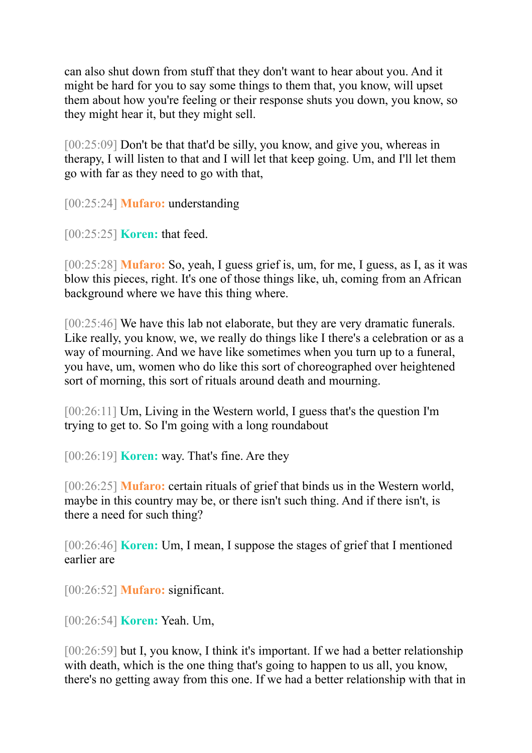can also shut down from stuff that they don't want to hear about you. And it might be hard for you to say some things to them that, you know, will upset them about how you're feeling or their response shuts you down, you know, so they might hear it, but they might sell.

[00:25:09] Don't be that that'd be silly, you know, and give you, whereas in therapy, I will listen to that and I will let that keep going. Um, and I'll let them go with far as they need to go with that,

[00:25:24] **Mufaro:** understanding

[00:25:25] **Koren:** that feed.

[00:25:28] **Mufaro:** So, yeah, I guess grief is, um, for me, I guess, as I, as it was blow this pieces, right. It's one of those things like, uh, coming from an African background where we have this thing where.

[00:25:46] We have this lab not elaborate, but they are very dramatic funerals. Like really, you know, we, we really do things like I there's a celebration or as a way of mourning. And we have like sometimes when you turn up to a funeral, you have, um, women who do like this sort of choreographed over heightened sort of morning, this sort of rituals around death and mourning.

[00:26:11] Um, Living in the Western world, I guess that's the question I'm trying to get to. So I'm going with a long roundabout

[00:26:19] **Koren:** way. That's fine. Are they

[00:26:25] **Mufaro:** certain rituals of grief that binds us in the Western world, maybe in this country may be, or there isn't such thing. And if there isn't, is there a need for such thing?

[00:26:46] **Koren:** Um, I mean, I suppose the stages of grief that I mentioned earlier are

[00:26:52] **Mufaro:** significant.

[00:26:54] **Koren:** Yeah. Um,

[00:26:59] but I, you know, I think it's important. If we had a better relationship with death, which is the one thing that's going to happen to us all, you know, there's no getting away from this one. If we had a better relationship with that in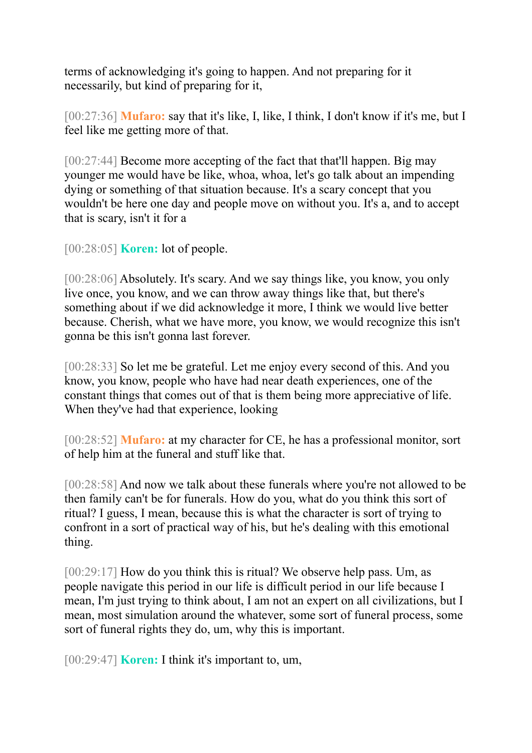terms of acknowledging it's going to happen. And not preparing for it necessarily, but kind of preparing for it,

[00:27:36] **Mufaro:** say that it's like, I, like, I think, I don't know if it's me, but I feel like me getting more of that.

[00:27:44] Become more accepting of the fact that that'll happen. Big may younger me would have be like, whoa, whoa, let's go talk about an impending dying or something of that situation because. It's a scary concept that you wouldn't be here one day and people move on without you. It's a, and to accept that is scary, isn't it for a

[00:28:05] **Koren:** lot of people.

[00:28:06] Absolutely. It's scary. And we say things like, you know, you only live once, you know, and we can throw away things like that, but there's something about if we did acknowledge it more, I think we would live better because. Cherish, what we have more, you know, we would recognize this isn't gonna be this isn't gonna last forever.

[00:28:33] So let me be grateful. Let me enjoy every second of this. And you know, you know, people who have had near death experiences, one of the constant things that comes out of that is them being more appreciative of life. When they've had that experience, looking

[00:28:52] **Mufaro:** at my character for CE, he has a professional monitor, sort of help him at the funeral and stuff like that.

[00:28:58] And now we talk about these funerals where you're not allowed to be then family can't be for funerals. How do you, what do you think this sort of ritual? I guess, I mean, because this is what the character is sort of trying to confront in a sort of practical way of his, but he's dealing with this emotional thing.

[00:29:17] How do you think this is ritual? We observe help pass. Um, as people navigate this period in our life is difficult period in our life because I mean, I'm just trying to think about, I am not an expert on all civilizations, but I mean, most simulation around the whatever, some sort of funeral process, some sort of funeral rights they do, um, why this is important.

[00:29:47] **Koren:** I think it's important to, um,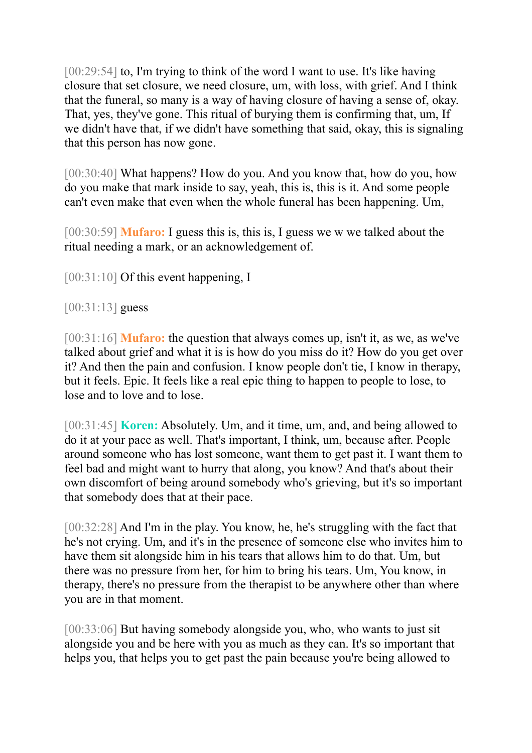[00:29:54] to, I'm trying to think of the word I want to use. It's like having closure that set closure, we need closure, um, with loss, with grief. And I think that the funeral, so many is a way of having closure of having a sense of, okay. That, yes, they've gone. This ritual of burying them is confirming that, um, If we didn't have that, if we didn't have something that said, okay, this is signaling that this person has now gone.

[00:30:40] What happens? How do you. And you know that, how do you, how do you make that mark inside to say, yeah, this is, this is it. And some people can't even make that even when the whole funeral has been happening. Um,

[00:30:59] **Mufaro:** I guess this is, this is, I guess we w we talked about the ritual needing a mark, or an acknowledgement of.

[00:31:10] Of this event happening, I

[00:31:13] guess

[00:31:16] **Mufaro:** the question that always comes up, isn't it, as we, as we've talked about grief and what it is is how do you miss do it? How do you get over it? And then the pain and confusion. I know people don't tie, I know in therapy, but it feels. Epic. It feels like a real epic thing to happen to people to lose, to lose and to love and to lose.

[00:31:45] **Koren:** Absolutely. Um, and it time, um, and, and being allowed to do it at your pace as well. That's important, I think, um, because after. People around someone who has lost someone, want them to get past it. I want them to feel bad and might want to hurry that along, you know? And that's about their own discomfort of being around somebody who's grieving, but it's so important that somebody does that at their pace.

[00:32:28] And I'm in the play. You know, he, he's struggling with the fact that he's not crying. Um, and it's in the presence of someone else who invites him to have them sit alongside him in his tears that allows him to do that. Um, but there was no pressure from her, for him to bring his tears. Um, You know, in therapy, there's no pressure from the therapist to be anywhere other than where you are in that moment.

[00:33:06] But having somebody alongside you, who, who wants to just sit alongside you and be here with you as much as they can. It's so important that helps you, that helps you to get past the pain because you're being allowed to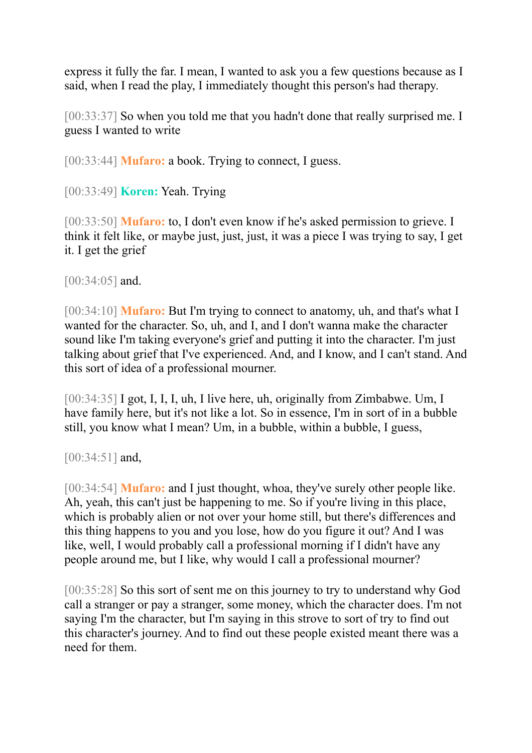express it fully the far. I mean, I wanted to ask you a few questions because as I said, when I read the play, I immediately thought this person's had therapy.

[00:33:37] So when you told me that you hadn't done that really surprised me. I guess I wanted to write

[00:33:44] **Mufaro:** a book. Trying to connect, I guess.

[00:33:49] **Koren:** Yeah. Trying

[00:33:50] **Mufaro:** to, I don't even know if he's asked permission to grieve. I think it felt like, or maybe just, just, just, it was a piece I was trying to say, I get it. I get the grief

[00:34:05] and.

[00:34:10] **Mufaro:** But I'm trying to connect to anatomy, uh, and that's what I wanted for the character. So, uh, and I, and I don't wanna make the character sound like I'm taking everyone's grief and putting it into the character. I'm just talking about grief that I've experienced. And, and I know, and I can't stand. And this sort of idea of a professional mourner.

[00:34:35] I got, I, I, I, uh, I live here, uh, originally from Zimbabwe. Um, I have family here, but it's not like a lot. So in essence, I'm in sort of in a bubble still, you know what I mean? Um, in a bubble, within a bubble, I guess,

[00:34:51] and,

[00:34:54] **Mufaro:** and I just thought, whoa, they've surely other people like. Ah, yeah, this can't just be happening to me. So if you're living in this place, which is probably alien or not over your home still, but there's differences and this thing happens to you and you lose, how do you figure it out? And I was like, well, I would probably call a professional morning if I didn't have any people around me, but I like, why would I call a professional mourner?

[00:35:28] So this sort of sent me on this journey to try to understand why God call a stranger or pay a stranger, some money, which the character does. I'm not saying I'm the character, but I'm saying in this strove to sort of try to find out this character's journey. And to find out these people existed meant there was a need for them.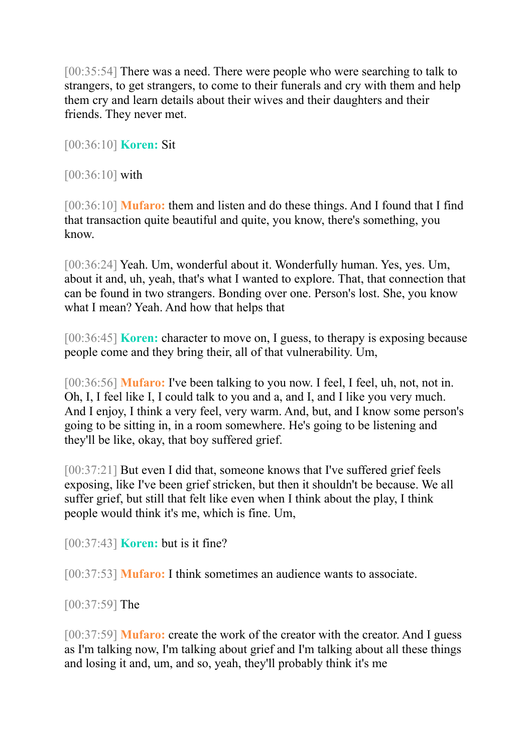[00:35:54] There was a need. There were people who were searching to talk to strangers, to get strangers, to come to their funerals and cry with them and help them cry and learn details about their wives and their daughters and their friends. They never met.

[00:36:10] **Koren:** Sit

[00:36:10] with

[00:36:10] **Mufaro:** them and listen and do these things. And I found that I find that transaction quite beautiful and quite, you know, there's something, you know.

[00:36:24] Yeah. Um, wonderful about it. Wonderfully human. Yes, yes. Um, about it and, uh, yeah, that's what I wanted to explore. That, that connection that can be found in two strangers. Bonding over one. Person's lost. She, you know what I mean? Yeah. And how that helps that

[00:36:45] **Koren:** character to move on, I guess, to therapy is exposing because people come and they bring their, all of that vulnerability. Um,

[00:36:56] **Mufaro:** I've been talking to you now. I feel, I feel, uh, not, not in. Oh, I, I feel like I, I could talk to you and a, and I, and I like you very much. And I enjoy, I think a very feel, very warm. And, but, and I know some person's going to be sitting in, in a room somewhere. He's going to be listening and they'll be like, okay, that boy suffered grief.

[00:37:21] But even I did that, someone knows that I've suffered grief feels exposing, like I've been grief stricken, but then it shouldn't be because. We all suffer grief, but still that felt like even when I think about the play, I think people would think it's me, which is fine. Um,

[00:37:43] **Koren:** but is it fine?

[00:37:53] **Mufaro:** I think sometimes an audience wants to associate.

[00:37:59] The

[00:37:59] **Mufaro:** create the work of the creator with the creator. And I guess as I'm talking now, I'm talking about grief and I'm talking about all these things and losing it and, um, and so, yeah, they'll probably think it's me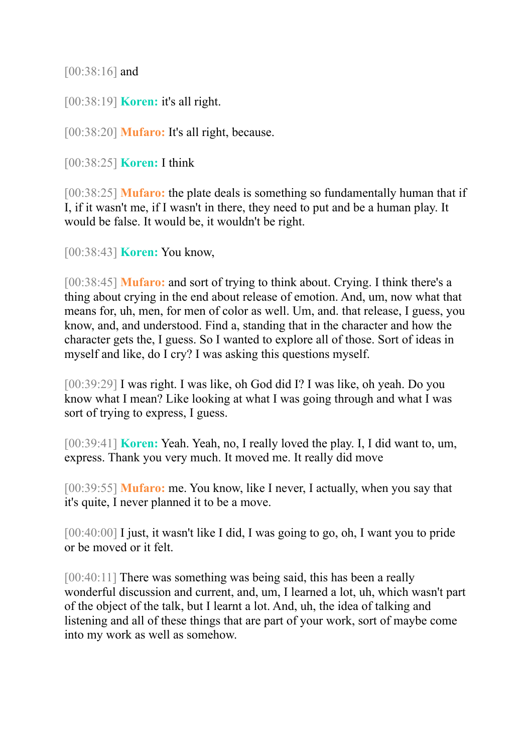[00:38:16] and

[00:38:19] **Koren:** it's all right.

[00:38:20] **Mufaro:** It's all right, because.

[00:38:25] **Koren:** I think

[00:38:25] **Mufaro:** the plate deals is something so fundamentally human that if I, if it wasn't me, if I wasn't in there, they need to put and be a human play. It would be false. It would be, it wouldn't be right.

[00:38:43] **Koren:** You know,

[00:38:45] **Mufaro:** and sort of trying to think about. Crying. I think there's a thing about crying in the end about release of emotion. And, um, now what that means for, uh, men, for men of color as well. Um, and. that release, I guess, you know, and, and understood. Find a, standing that in the character and how the character gets the, I guess. So I wanted to explore all of those. Sort of ideas in myself and like, do I cry? I was asking this questions myself.

[00:39:29] I was right. I was like, oh God did I? I was like, oh yeah. Do you know what I mean? Like looking at what I was going through and what I was sort of trying to express, I guess.

[00:39:41] **Koren:** Yeah. Yeah, no, I really loved the play. I, I did want to, um, express. Thank you very much. It moved me. It really did move

[00:39:55] **Mufaro:** me. You know, like I never, I actually, when you say that it's quite, I never planned it to be a move.

[00:40:00] I just, it wasn't like I did, I was going to go, oh, I want you to pride or be moved or it felt.

[00:40:11] There was something was being said, this has been a really wonderful discussion and current, and, um, I learned a lot, uh, which wasn't part of the object of the talk, but I learnt a lot. And, uh, the idea of talking and listening and all of these things that are part of your work, sort of maybe come into my work as well as somehow.